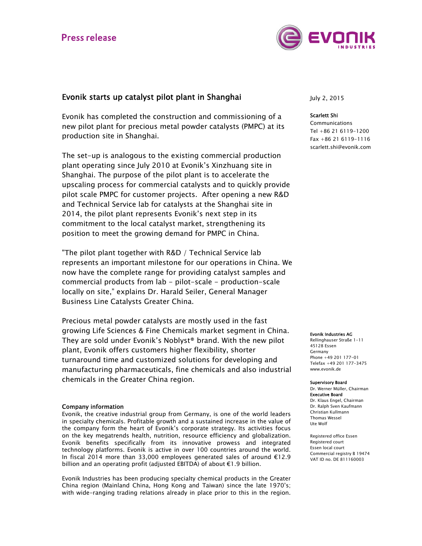# **Press release**



## Evonik starts up catalyst pilot plant in Shanghai

Evonik has completed the construction and commissioning of a new pilot plant for precious metal powder catalysts (PMPC) at its production site in Shanghai.

The set-up is analogous to the existing commercial production plant operating since July 2010 at Evonik's Xinzhuang site in Shanghai. The purpose of the pilot plant is to accelerate the upscaling process for commercial catalysts and to quickly provide pilot scale PMPC for customer projects. After opening a new R&D and Technical Service lab for catalysts at the Shanghai site in 2014, the pilot plant represents Evonik's next step in its commitment to the local catalyst market, strengthening its position to meet the growing demand for PMPC in China.

"The pilot plant together with R&D / Technical Service lab represents an important milestone for our operations in China. We now have the complete range for providing catalyst samples and commercial products from lab - pilot-scale - production-scale locally on site," explains Dr. Harald Seiler, General Manager Business Line Catalysts Greater China.

Precious metal powder catalysts are mostly used in the fast growing Life Sciences & Fine Chemicals market segment in China. They are sold under Evonik's Noblyst® brand. With the new pilot plant, Evonik offers customers higher flexibility, shorter turnaround time and customized solutions for developing and manufacturing pharmaceuticals, fine chemicals and also industrial chemicals in the Greater China region.

## Company information

Evonik, the creative industrial group from Germany, is one of the world leaders in specialty chemicals. Profitable growth and a sustained increase in the value of the company form the heart of Evonik's corporate strategy. Its activities focus on the key megatrends health, nutrition, resource efficiency and globalization. Evonik benefits specifically from its innovative prowess and integrated technology platforms. Evonik is active in over 100 countries around the world. In fiscal 2014 more than 33,000 employees generated sales of around €12.9 billion and an operating profit (adjusted EBITDA) of about €1.9 billion.

Evonik Industries has been producing specialty chemical products in the Greater China region (Mainland China, Hong Kong and Taiwan) since the late 1970's; with wide-ranging trading relations already in place prior to this in the region.

July 2, 2015

### Scarlett Shi

Communications Tel +86 21 6119-1200 Fax +86 21 6119-1116 scarlett.shi@evonik.com

#### Evonik Industries AG

Rellinghauser Straße 1-11 45128 Essen Germany Phone +49 201 177-01 Telefax +49 201 177-3475 www.evonik.de

#### Supervisory Board

Dr. Werner Müller, Chairman Executive Board Dr. Klaus Engel, Chairman Dr. Ralph Sven Kaufmann Christian Kullmann Thomas Wessel Ute Wolf

Registered office Essen Registered court Essen local court Commercial registry B 19474 VAT ID no. DE 811160003